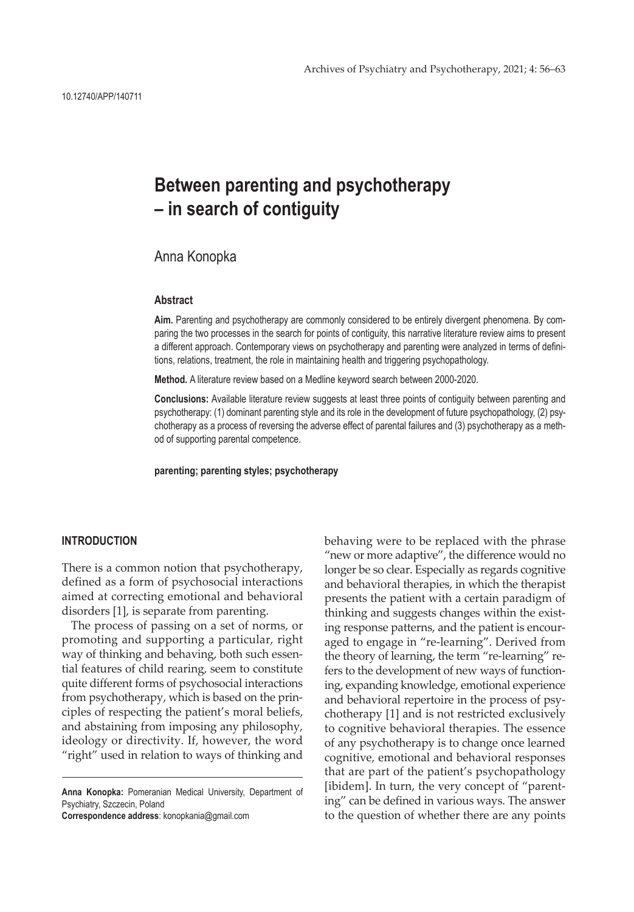# **Between parenting and psychotherapy – in search of contiguity**

Anna Konopka

#### **Abstract**

**Aim.** Parenting and psychotherapy are commonly considered to be entirely divergent phenomena. By comparing the two processes in the search for points of contiguity, this narrative literature review aims to present a different approach. Contemporary views on psychotherapy and parenting were analyzed in terms of definitions, relations, treatment, the role in maintaining health and triggering psychopathology.

**Method.** A literature review based on a Medline keyword search between 2000-2020.

**Conclusions:** Available literature review suggests at least three points of contiguity between parenting and psychotherapy: (1) dominant parenting style and its role in the development of future psychopathology, (2) psychotherapy as a process of reversing the adverse effect of parental failures and (3) psychotherapy as a method of supporting parental competence.

**parenting; parenting styles; psychotherapy**

#### **INTRODUCTION**

There is a common notion that psychotherapy, defined as a form of psychosocial interactions aimed at correcting emotional and behavioral disorders [1], is separate from parenting.

The process of passing on a set of norms, or promoting and supporting a particular, right way of thinking and behaving, both such essential features of child rearing, seem to constitute quite different forms of psychosocial interactions from psychotherapy, which is based on the principles of respecting the patient's moral beliefs, and abstaining from imposing any philosophy, ideology or directivity. If, however, the word "right" used in relation to ways of thinking and

**Anna Konopka:** Pomeranian Medical University, Department of Psychiatry, Szczecin, Poland

**Correspondence address**: konopkania@gmail.com

behaving were to be replaced with the phrase "new or more adaptive", the difference would no longer be so clear. Especially as regards cognitive and behavioral therapies, in which the therapist presents the patient with a certain paradigm of thinking and suggests changes within the existing response patterns, and the patient is encouraged to engage in "re-learning". Derived from the theory of learning, the term "re-learning" refers to the development of new ways of functioning, expanding knowledge, emotional experience and behavioral repertoire in the process of psychotherapy [1] and is not restricted exclusively to cognitive behavioral therapies. The essence of any psychotherapy is to change once learned cognitive, emotional and behavioral responses that are part of the patient's psychopathology [ibidem]. In turn, the very concept of "parenting" can be defined in various ways. The answer to the question of whether there are any points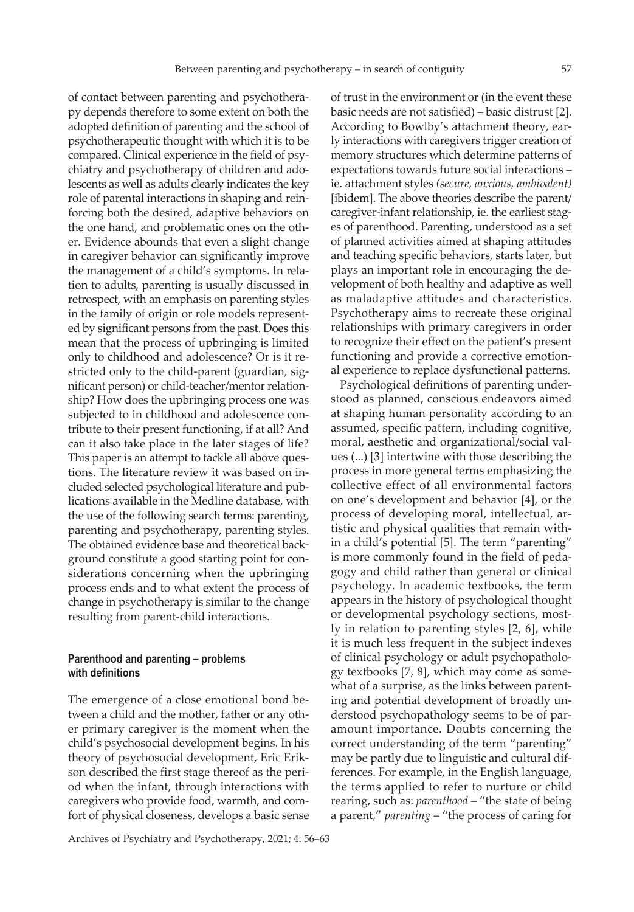of contact between parenting and psychotherapy depends therefore to some extent on both the adopted definition of parenting and the school of psychotherapeutic thought with which it is to be compared. Clinical experience in the field of psychiatry and psychotherapy of children and adolescents as well as adults clearly indicates the key role of parental interactions in shaping and reinforcing both the desired, adaptive behaviors on the one hand, and problematic ones on the other. Evidence abounds that even a slight change in caregiver behavior can significantly improve the management of a child's symptoms. In relation to adults, parenting is usually discussed in retrospect, with an emphasis on parenting styles in the family of origin or role models represented by significant persons from the past. Does this mean that the process of upbringing is limited only to childhood and adolescence? Or is it restricted only to the child-parent (guardian, significant person) or child-teacher/mentor relationship? How does the upbringing process one was subjected to in childhood and adolescence contribute to their present functioning, if at all? And can it also take place in the later stages of life? This paper is an attempt to tackle all above questions. The literature review it was based on included selected psychological literature and publications available in the Medline database, with the use of the following search terms: parenting, parenting and psychotherapy, parenting styles. The obtained evidence base and theoretical background constitute a good starting point for considerations concerning when the upbringing process ends and to what extent the process of change in psychotherapy is similar to the change resulting from parent-child interactions.

## **Parenthood and parenting – problems with definitions**

The emergence of a close emotional bond between a child and the mother, father or any other primary caregiver is the moment when the child's psychosocial development begins. In his theory of psychosocial development, Eric Erikson described the first stage thereof as the period when the infant, through interactions with caregivers who provide food, warmth, and comfort of physical closeness, develops a basic sense

of trust in the environment or (in the event these basic needs are not satisfied) – basic distrust [2]. According to Bowlby's attachment theory, early interactions with caregivers trigger creation of memory structures which determine patterns of expectations towards future social interactions – ie. attachment styles *(secure, anxious, ambivalent)* [ibidem]. The above theories describe the parent/ caregiver-infant relationship, ie. the earliest stages of parenthood. Parenting, understood as a set of planned activities aimed at shaping attitudes and teaching specific behaviors, starts later, but plays an important role in encouraging the development of both healthy and adaptive as well as maladaptive attitudes and characteristics. Psychotherapy aims to recreate these original relationships with primary caregivers in order to recognize their effect on the patient's present functioning and provide a corrective emotional experience to replace dysfunctional patterns.

Psychological definitions of parenting understood as planned, conscious endeavors aimed at shaping human personality according to an assumed, specific pattern, including cognitive, moral, aesthetic and organizational/social values (...) [3] intertwine with those describing the process in more general terms emphasizing the collective effect of all environmental factors on one's development and behavior [4], or the process of developing moral, intellectual, artistic and physical qualities that remain within a child's potential [5]. The term "parenting" is more commonly found in the field of pedagogy and child rather than general or clinical psychology. In academic textbooks, the term appears in the history of psychological thought or developmental psychology sections, mostly in relation to parenting styles [2, 6], while it is much less frequent in the subject indexes of clinical psychology or adult psychopathology textbooks [7, 8], which may come as somewhat of a surprise, as the links between parenting and potential development of broadly understood psychopathology seems to be of paramount importance. Doubts concerning the correct understanding of the term "parenting" may be partly due to linguistic and cultural differences. For example, in the English language, the terms applied to refer to nurture or child rearing, such as: *parenthood* – "the state of being a parent," *parenting* – "the process of caring for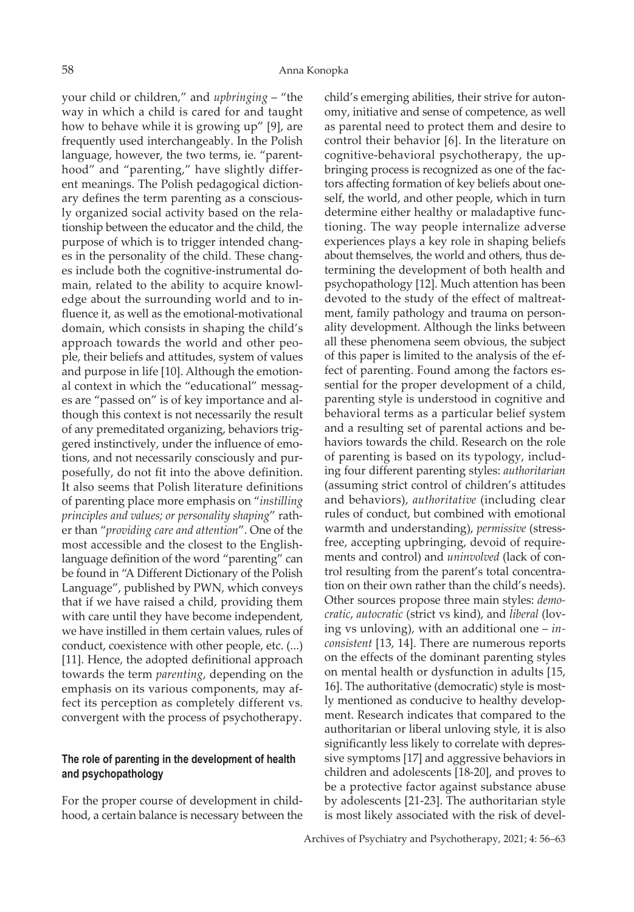your child or children," and *upbringing* – "the way in which a child is cared for and taught how to behave while it is growing up" [9], are frequently used interchangeably. In the Polish language, however, the two terms, ie. "parenthood" and "parenting," have slightly different meanings. The Polish pedagogical dictionary defines the term parenting as a consciously organized social activity based on the relationship between the educator and the child, the purpose of which is to trigger intended changes in the personality of the child. These changes include both the cognitive-instrumental domain, related to the ability to acquire knowledge about the surrounding world and to influence it, as well as the emotional-motivational domain, which consists in shaping the child's approach towards the world and other people, their beliefs and attitudes, system of values and purpose in life [10]. Although the emotional context in which the "educational" messages are "passed on" is of key importance and although this context is not necessarily the result of any premeditated organizing, behaviors triggered instinctively, under the influence of emotions, and not necessarily consciously and purposefully, do not fit into the above definition. It also seems that Polish literature definitions of parenting place more emphasis on "*instilling principles and values; or personality shaping*" rather than "*providing care and attention*". One of the most accessible and the closest to the Englishlanguage definition of the word "parenting" can be found in "A Different Dictionary of the Polish Language", published by PWN, which conveys that if we have raised a child, providing them with care until they have become independent, we have instilled in them certain values, rules of conduct, coexistence with other people, etc. (...) [11]. Hence, the adopted definitional approach towards the term *parenting*, depending on the emphasis on its various components, may affect its perception as completely different vs. convergent with the process of psychotherapy.

## **The role of parenting in the development of health and psychopathology**

For the proper course of development in childhood, a certain balance is necessary between the

child's emerging abilities, their strive for autonomy, initiative and sense of competence, as well as parental need to protect them and desire to control their behavior [6]. In the literature on cognitive-behavioral psychotherapy, the upbringing process is recognized as one of the factors affecting formation of key beliefs about oneself, the world, and other people, which in turn determine either healthy or maladaptive functioning. The way people internalize adverse experiences plays a key role in shaping beliefs about themselves, the world and others, thus determining the development of both health and psychopathology [12]. Much attention has been devoted to the study of the effect of maltreatment, family pathology and trauma on personality development. Although the links between all these phenomena seem obvious, the subject of this paper is limited to the analysis of the effect of parenting. Found among the factors essential for the proper development of a child, parenting style is understood in cognitive and behavioral terms as a particular belief system and a resulting set of parental actions and behaviors towards the child. Research on the role of parenting is based on its typology, including four different parenting styles: *authoritarian*  (assuming strict control of children's attitudes and behaviors), *authoritative* (including clear rules of conduct, but combined with emotional warmth and understanding), *permissive* (stressfree, accepting upbringing, devoid of requirements and control) and *uninvolved* (lack of control resulting from the parent's total concentration on their own rather than the child's needs). Other sources propose three main styles: *democratic*, *autocratic* (strict vs kind), and *liberal* (loving vs unloving), with an additional one – *inconsistent* [13, 14]. There are numerous reports on the effects of the dominant parenting styles on mental health or dysfunction in adults [15, 16]. The authoritative (democratic) style is mostly mentioned as conducive to healthy development. Research indicates that compared to the authoritarian or liberal unloving style, it is also significantly less likely to correlate with depressive symptoms [17] and aggressive behaviors in children and adolescents [18-20], and proves to be a protective factor against substance abuse by adolescents [21-23]. The authoritarian style is most likely associated with the risk of devel-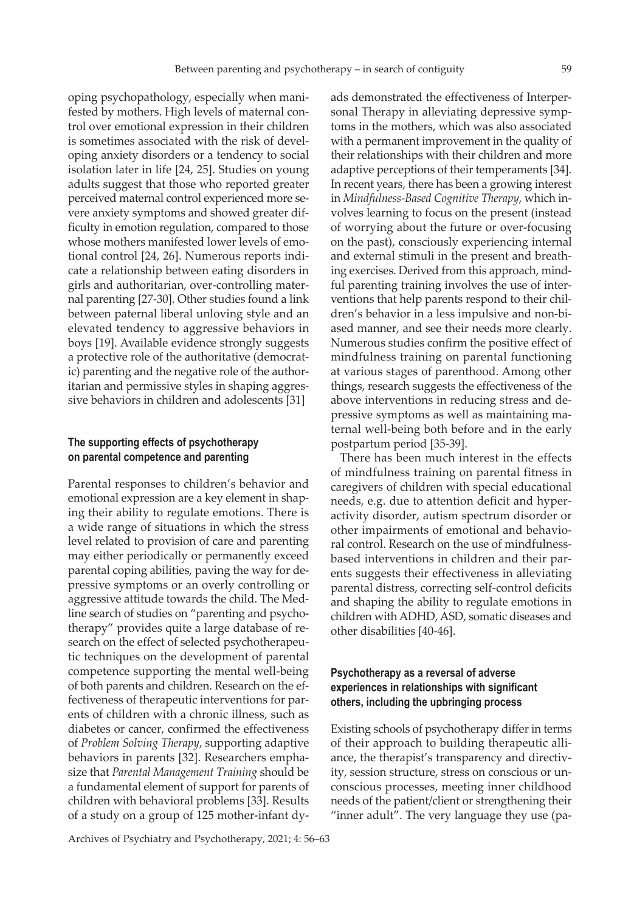oping psychopathology, especially when manifested by mothers. High levels of maternal control over emotional expression in their children is sometimes associated with the risk of developing anxiety disorders or a tendency to social isolation later in life [24, 25]. Studies on young adults suggest that those who reported greater perceived maternal control experienced more severe anxiety symptoms and showed greater difficulty in emotion regulation, compared to those whose mothers manifested lower levels of emotional control [24, 26]. Numerous reports indicate a relationship between eating disorders in girls and authoritarian, over-controlling maternal parenting [27-30]. Other studies found a link between paternal liberal unloving style and an elevated tendency to aggressive behaviors in boys [19]. Available evidence strongly suggests a protective role of the authoritative (democratic) parenting and the negative role of the authoritarian and permissive styles in shaping aggressive behaviors in children and adolescents [31]

## **The supporting effects of psychotherapy on parental competence and parenting**

Parental responses to children's behavior and emotional expression are a key element in shaping their ability to regulate emotions. There is a wide range of situations in which the stress level related to provision of care and parenting may either periodically or permanently exceed parental coping abilities, paving the way for depressive symptoms or an overly controlling or aggressive attitude towards the child. The Medline search of studies on "parenting and psychotherapy" provides quite a large database of research on the effect of selected psychotherapeutic techniques on the development of parental competence supporting the mental well-being of both parents and children. Research on the effectiveness of therapeutic interventions for parents of children with a chronic illness, such as diabetes or cancer, confirmed the effectiveness of *Problem Solving Therapy*, supporting adaptive behaviors in parents [32]. Researchers emphasize that *Parental Management Training* should be a fundamental element of support for parents of children with behavioral problems [33]. Results of a study on a group of 125 mother-infant dy-

ads demonstrated the effectiveness of Interpersonal Therapy in alleviating depressive symptoms in the mothers, which was also associated with a permanent improvement in the quality of their relationships with their children and more adaptive perceptions of their temperaments [34]. In recent years, there has been a growing interest in *Mindfulness-Based Cognitive Therapy*, which involves learning to focus on the present (instead of worrying about the future or over-focusing on the past), consciously experiencing internal and external stimuli in the present and breathing exercises. Derived from this approach, mindful parenting training involves the use of interventions that help parents respond to their children's behavior in a less impulsive and non-biased manner, and see their needs more clearly. Numerous studies confirm the positive effect of mindfulness training on parental functioning at various stages of parenthood. Among other things, research suggests the effectiveness of the above interventions in reducing stress and depressive symptoms as well as maintaining maternal well-being both before and in the early postpartum period [35-39].

There has been much interest in the effects of mindfulness training on parental fitness in caregivers of children with special educational needs, e.g. due to attention deficit and hyperactivity disorder, autism spectrum disorder or other impairments of emotional and behavioral control. Research on the use of mindfulnessbased interventions in children and their parents suggests their effectiveness in alleviating parental distress, correcting self-control deficits and shaping the ability to regulate emotions in children with ADHD, ASD, somatic diseases and other disabilities [40-46].

## **Psychotherapy as a reversal of adverse experiences in relationships with significant others, including the upbringing process**

Existing schools of psychotherapy differ in terms of their approach to building therapeutic alliance, the therapist's transparency and directivity, session structure, stress on conscious or unconscious processes, meeting inner childhood needs of the patient/client or strengthening their "inner adult". The very language they use (pa-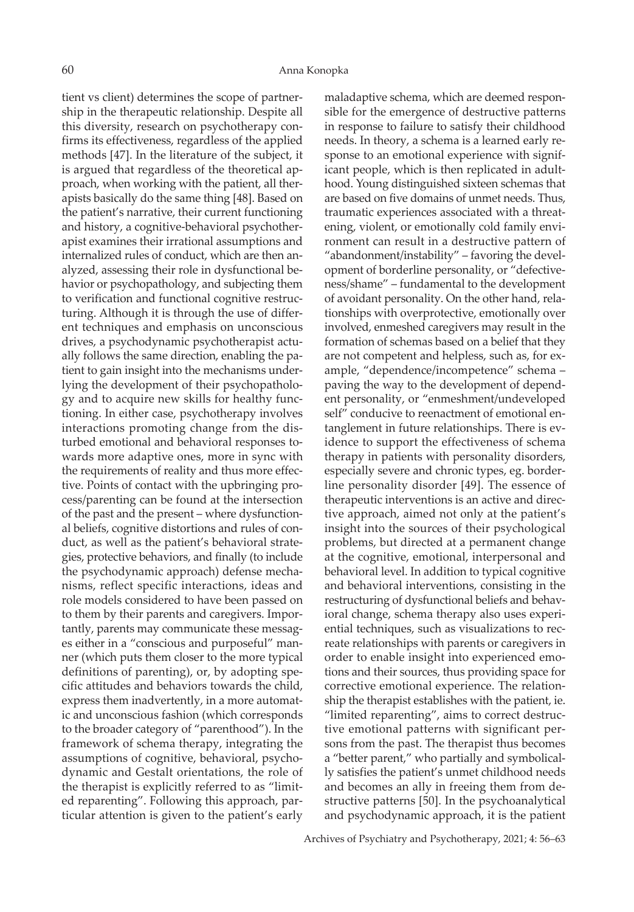tient vs client) determines the scope of partnership in the therapeutic relationship. Despite all this diversity, research on psychotherapy confirms its effectiveness, regardless of the applied methods [47]. In the literature of the subject, it is argued that regardless of the theoretical approach, when working with the patient, all therapists basically do the same thing [48]. Based on the patient's narrative, their current functioning and history, a cognitive-behavioral psychotherapist examines their irrational assumptions and internalized rules of conduct, which are then analyzed, assessing their role in dysfunctional behavior or psychopathology, and subjecting them to verification and functional cognitive restructuring. Although it is through the use of different techniques and emphasis on unconscious drives, a psychodynamic psychotherapist actually follows the same direction, enabling the patient to gain insight into the mechanisms underlying the development of their psychopathology and to acquire new skills for healthy functioning. In either case, psychotherapy involves interactions promoting change from the disturbed emotional and behavioral responses towards more adaptive ones, more in sync with the requirements of reality and thus more effective. Points of contact with the upbringing process/parenting can be found at the intersection of the past and the present – where dysfunctional beliefs, cognitive distortions and rules of conduct, as well as the patient's behavioral strategies, protective behaviors, and finally (to include the psychodynamic approach) defense mechanisms, reflect specific interactions, ideas and role models considered to have been passed on to them by their parents and caregivers. Importantly, parents may communicate these messages either in a "conscious and purposeful" manner (which puts them closer to the more typical definitions of parenting), or, by adopting specific attitudes and behaviors towards the child, express them inadvertently, in a more automatic and unconscious fashion (which corresponds to the broader category of "parenthood"). In the framework of schema therapy, integrating the assumptions of cognitive, behavioral, psychodynamic and Gestalt orientations, the role of the therapist is explicitly referred to as "limited reparenting". Following this approach, particular attention is given to the patient's early

maladaptive schema, which are deemed responsible for the emergence of destructive patterns in response to failure to satisfy their childhood needs. In theory, a schema is a learned early response to an emotional experience with significant people, which is then replicated in adulthood. Young distinguished sixteen schemas that are based on five domains of unmet needs. Thus, traumatic experiences associated with a threatening, violent, or emotionally cold family environment can result in a destructive pattern of "abandonment/instability" – favoring the development of borderline personality, or "defectiveness/shame" – fundamental to the development of avoidant personality. On the other hand, relationships with overprotective, emotionally over involved, enmeshed caregivers may result in the formation of schemas based on a belief that they are not competent and helpless, such as, for example, "dependence/incompetence" schema – paving the way to the development of dependent personality, or "enmeshment/undeveloped self" conducive to reenactment of emotional entanglement in future relationships. There is evidence to support the effectiveness of schema therapy in patients with personality disorders, especially severe and chronic types, eg. borderline personality disorder [49]. The essence of therapeutic interventions is an active and directive approach, aimed not only at the patient's insight into the sources of their psychological problems, but directed at a permanent change at the cognitive, emotional, interpersonal and behavioral level. In addition to typical cognitive and behavioral interventions, consisting in the restructuring of dysfunctional beliefs and behavioral change, schema therapy also uses experiential techniques, such as visualizations to recreate relationships with parents or caregivers in order to enable insight into experienced emotions and their sources, thus providing space for corrective emotional experience. The relationship the therapist establishes with the patient, ie. "limited reparenting", aims to correct destructive emotional patterns with significant persons from the past. The therapist thus becomes a "better parent," who partially and symbolically satisfies the patient's unmet childhood needs and becomes an ally in freeing them from destructive patterns [50]. In the psychoanalytical and psychodynamic approach, it is the patient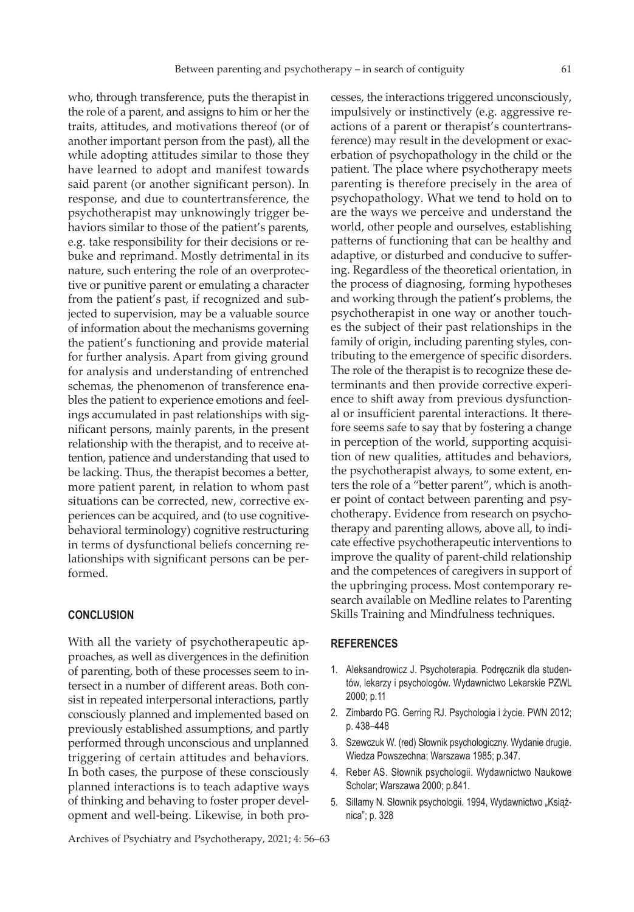who, through transference, puts the therapist in the role of a parent, and assigns to him or her the traits, attitudes, and motivations thereof (or of another important person from the past), all the while adopting attitudes similar to those they have learned to adopt and manifest towards said parent (or another significant person). In response, and due to countertransference, the psychotherapist may unknowingly trigger behaviors similar to those of the patient's parents, e.g. take responsibility for their decisions or rebuke and reprimand. Mostly detrimental in its nature, such entering the role of an overprotective or punitive parent or emulating a character from the patient's past, if recognized and subjected to supervision, may be a valuable source of information about the mechanisms governing the patient's functioning and provide material for further analysis. Apart from giving ground for analysis and understanding of entrenched schemas, the phenomenon of transference enables the patient to experience emotions and feelings accumulated in past relationships with significant persons, mainly parents, in the present relationship with the therapist, and to receive attention, patience and understanding that used to be lacking. Thus, the therapist becomes a better, more patient parent, in relation to whom past situations can be corrected, new, corrective experiences can be acquired, and (to use cognitivebehavioral terminology) cognitive restructuring in terms of dysfunctional beliefs concerning relationships with significant persons can be performed.

#### **CONCLUSION**

With all the variety of psychotherapeutic approaches, as well as divergences in the definition of parenting, both of these processes seem to intersect in a number of different areas. Both consist in repeated interpersonal interactions, partly consciously planned and implemented based on previously established assumptions, and partly performed through unconscious and unplanned triggering of certain attitudes and behaviors. In both cases, the purpose of these consciously planned interactions is to teach adaptive ways of thinking and behaving to foster proper development and well-being. Likewise, in both pro-

impulsively or instinctively (e.g. aggressive reactions of a parent or therapist's countertransference) may result in the development or exacerbation of psychopathology in the child or the patient. The place where psychotherapy meets parenting is therefore precisely in the area of psychopathology. What we tend to hold on to are the ways we perceive and understand the world, other people and ourselves, establishing patterns of functioning that can be healthy and adaptive, or disturbed and conducive to suffering. Regardless of the theoretical orientation, in the process of diagnosing, forming hypotheses and working through the patient's problems, the psychotherapist in one way or another touches the subject of their past relationships in the family of origin, including parenting styles, contributing to the emergence of specific disorders. The role of the therapist is to recognize these determinants and then provide corrective experience to shift away from previous dysfunctional or insufficient parental interactions. It therefore seems safe to say that by fostering a change in perception of the world, supporting acquisition of new qualities, attitudes and behaviors, the psychotherapist always, to some extent, enters the role of a "better parent", which is another point of contact between parenting and psychotherapy. Evidence from research on psychotherapy and parenting allows, above all, to indicate effective psychotherapeutic interventions to improve the quality of parent-child relationship and the competences of caregivers in support of the upbringing process. Most contemporary research available on Medline relates to Parenting Skills Training and Mindfulness techniques.

cesses, the interactions triggered unconsciously,

#### **REFERENCES**

- 1. Aleksandrowicz J. Psychoterapia. Podręcznik dla studentów, lekarzy i psychologów. Wydawnictwo Lekarskie PZWL 2000; p.11
- 2. Zimbardo PG. Gerring RJ. Psychologia i życie. PWN 2012; p. 438–448
- 3. Szewczuk W. (red) Słownik psychologiczny. Wydanie drugie. Wiedza Powszechna; Warszawa 1985; p.347.
- 4. Reber AS. Słownik psychologii. Wydawnictwo Naukowe Scholar; Warszawa 2000; p.841.
- 5. Sillamy N. Słownik psychologii. 1994, Wydawnictwo "Książnica"; p. 328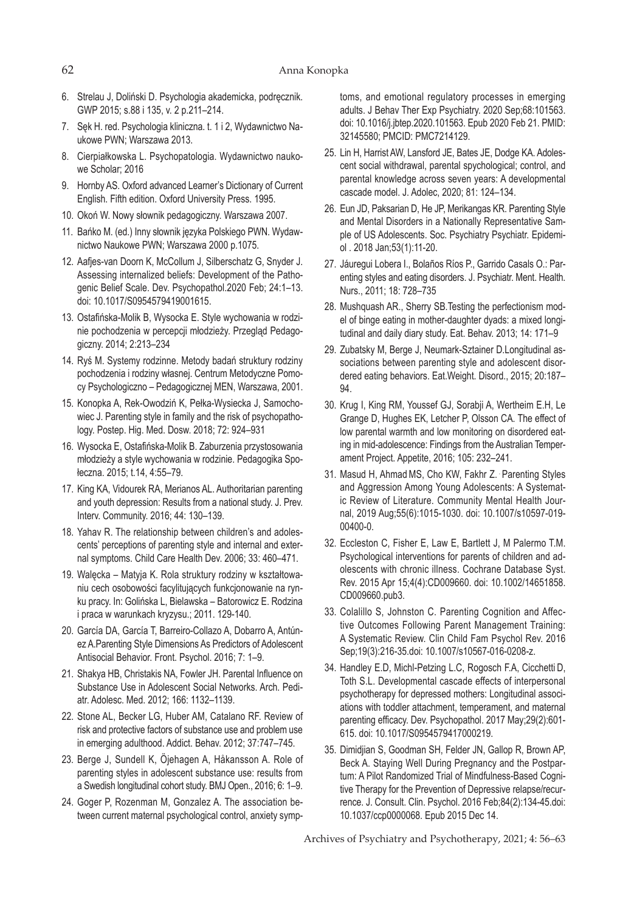- 6. Strelau J, Doliński D. Psychologia akademicka, podręcznik. GWP 2015; s.88 i 135, v. 2 p.211–214.
- 7. Sęk H. red. Psychologia kliniczna. t. 1 i 2, Wydawnictwo Naukowe PWN; Warszawa 2013.
- 8. Cierpiałkowska L. Psychopatologia. Wydawnictwo naukowe Scholar; 2016
- 9. Hornby AS. Oxford advanced Learner's Dictionary of Current English. Fifth edition. Oxford University Press. 1995.
- 10. Okoń W. Nowy słownik pedagogiczny. Warszawa 2007.
- 11. Bańko M. (ed.) Inny słownik języka Polskiego PWN. Wydawnictwo Naukowe PWN; Warszawa 2000 p.1075.
- 12. Aafjes-van Doorn K, McCollum J, Silberschatz G, Snyder J. Assessing internalized beliefs: Development of the Pathogenic Belief Scale. Dev. Psychopathol.2020 Feb; 24:1–13. doi: 10.1017/S0954579419001615.
- 13. Ostafińska-Molik B, Wysocka E. Style wychowania w rodzinie pochodzenia w percepcji młodzieży. Przegląd Pedagogiczny. 2014; 2:213–234
- 14. Ryś M. Systemy rodzinne. Metody badań struktury rodziny pochodzenia i rodziny własnej. Centrum Metodyczne Pomocy Psychologiczno – Pedagogicznej MEN, Warszawa, 2001.
- 15. Konopka A, Rek-Owodziń K, Pełka-Wysiecka J, Samochowiec J. Parenting style in family and the risk of psychopathology. Postep. Hig. Med. Dosw. 2018; 72: 924–931
- 16. Wysocka E, Ostafińska-Molik B. Zaburzenia przystosowania młodzieży a style wychowania w rodzinie. Pedagogika Społeczna. 2015; t.14, 4:55–79.
- 17. King KA, Vidourek RA, Merianos AL. Authoritarian parenting and youth depression: Results from a national study. J. Prev. Interv. Community. 2016; 44: 130–139.
- 18. Yahav R. The relationship between children's and adolescents' perceptions of parenting style and internal and external symptoms. Child Care Health Dev. 2006; 33: 460–471.
- 19. Walęcka Matyja K. Rola struktury rodziny w kształtowaniu cech osobowości facylitujących funkcjonowanie na rynku pracy. In: Golińska L, Bielawska – Batorowicz E. Rodzina i praca w warunkach kryzysu.; 2011. 129-140.
- 20. García DA, García T, Barreiro-Collazo A, Dobarro A, Antúnez A.Parenting Style Dimensions As Predictors of Adolescent Antisocial Behavior. Front. Psychol. 2016; 7: 1–9.
- 21. Shakya HB, Christakis NA, Fowler JH. Parental Influence on Substance Use in Adolescent Social Networks. Arch. Pediatr. Adolesc. Med. 2012; 166: 1132–1139.
- 22. Stone AL, Becker LG, Huber AM, Catalano RF. Review of risk and protective factors of substance use and problem use in emerging adulthood. Addict. Behav. 2012; 37:747–745.
- 23. Berge J, Sundell K, Öjehagen A, Håkansson A. Role of parenting styles in adolescent substance use: results from a Swedish longitudinal cohort study. BMJ Open., 2016; 6: 1–9.
- 24. Goger P, Rozenman M, Gonzalez A. The association between current maternal psychological control, anxiety symp-

toms, and emotional regulatory processes in emerging adults. J Behav Ther Exp Psychiatry. 2020 Sep;68:101563. doi: 10.1016/j.jbtep.2020.101563. Epub 2020 Feb 21. PMID: 32145580; PMCID: PMC7214129.

- 25. Lin H, Harrist AW, Lansford JE, Bates JE, Dodge KA. Adolescent social withdrawal, parental spychological; control, and parental knowledge across seven years: A developmental cascade model. J. Adolec, 2020; 81: 124–134.
- 26. Eun JD, Paksarian D, He JP, Merikangas KR. Parenting Style and Mental Disorders in a Nationally Representative Sample of US Adolescents. Soc. Psychiatry Psychiatr. Epidemiol . 2018 Jan;53(1):11-20.
- 27. Jáuregui Lobera I., Bolaños Ríos P., Garrido Casals O.: Parenting styles and eating disorders. J. Psychiatr. Ment. Health. Nurs., 2011; 18: 728–735
- 28. Mushquash AR., Sherry SB.Testing the perfectionism model of binge eating in mother-daughter dyads: a mixed longitudinal and daily diary study. Eat. Behav. 2013; 14: 171–9
- 29. Zubatsky M, Berge J, Neumark-Sztainer D.Longitudinal associations between parenting style and adolescent disordered eating behaviors. Eat.Weight. Disord., 2015; 20:187– 94.
- 30. Krug I, King RM, Youssef GJ, Sorabji A, Wertheim E.H, Le Grange D, Hughes EK, Letcher P, Olsson CA. The effect of low parental warmth and low monitoring on disordered eating in mid-adolescence: Findings from the Australian Temperament Project. Appetite, 2016; 105: 232–241.
- 31. Masud H, Ahmad MS, Cho KW, Fakhr Z. Parenting Styles and Aggression Among Young Adolescents: A Systematic Review of Literature. Community Mental Health Journal, 2019 Aug;55(6):1015-1030. doi: 10.1007/s10597-019- 00400-0.
- 32. Eccleston C, Fisher E, Law E, Bartlett J, M Palermo T.M. Psychological interventions for parents of children and adolescents with chronic illness. Cochrane Database Syst. Rev. 2015 Apr 15;4(4):CD009660. doi: 10.1002/14651858. CD009660.pub3.
- 33. Colalillo S, Johnston C. Parenting Cognition and Affective Outcomes Following Parent Management Training: A Systematic Review. Clin Child Fam Psychol Rev. 2016 Sep;19(3):216-35.doi: 10.1007/s10567-016-0208-z.
- 34. Handley E.D, Michl-Petzing L.C, Rogosch F.A, Cicchetti D, Toth S.L. Developmental cascade effects of interpersonal psychotherapy for depressed mothers: Longitudinal associations with toddler attachment, temperament, and maternal parenting efficacy. Dev. Psychopathol. 2017 May;29(2):601- 615. doi: 10.1017/S0954579417000219.
- 35. Dimidjian S, Goodman SH, Felder JN, Gallop R, Brown AP, Beck A. Staying Well During Pregnancy and the Postpartum: A Pilot Randomized Trial of Mindfulness-Based Cognitive Therapy for the Prevention of Depressive relapse/recurrence. J. Consult. Clin. Psychol. 2016 Feb;84(2):134-45.doi: 10.1037/ccp0000068. Epub 2015 Dec 14.